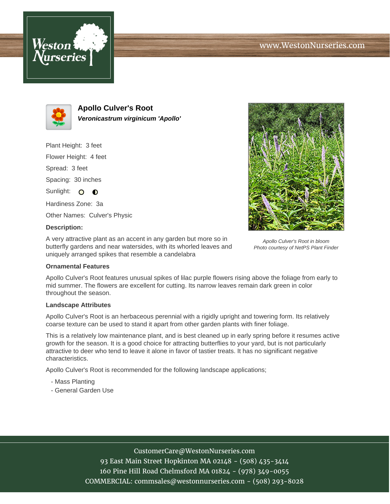



**Apollo Culver's Root Veronicastrum virginicum 'Apollo'**

Plant Height: 3 feet Flower Height: 4 feet Spread: 3 feet Spacing: 30 inches Sunlight: O O Hardiness Zone: 3a Other Names: Culver's Physic

## **Description:**

A very attractive plant as an accent in any garden but more so in butterfly gardens and near watersides, with its whorled leaves and uniquely arranged spikes that resemble a candelabra

## **Ornamental Features**

Apollo Culver's Root features unusual spikes of lilac purple flowers rising above the foliage from early to mid summer. The flowers are excellent for cutting. Its narrow leaves remain dark green in color throughout the season.

## **Landscape Attributes**

Apollo Culver's Root is an herbaceous perennial with a rigidly upright and towering form. Its relatively coarse texture can be used to stand it apart from other garden plants with finer foliage.

This is a relatively low maintenance plant, and is best cleaned up in early spring before it resumes active growth for the season. It is a good choice for attracting butterflies to your yard, but is not particularly attractive to deer who tend to leave it alone in favor of tastier treats. It has no significant negative characteristics.

Apollo Culver's Root is recommended for the following landscape applications;

- Mass Planting
- General Garden Use



93 East Main Street Hopkinton MA 02148 - (508) 435-3414 160 Pine Hill Road Chelmsford MA 01824 - (978) 349-0055 COMMERCIAL: commsales@westonnurseries.com - (508) 293-8028



Apollo Culver's Root in bloom Photo courtesy of NetPS Plant Finder